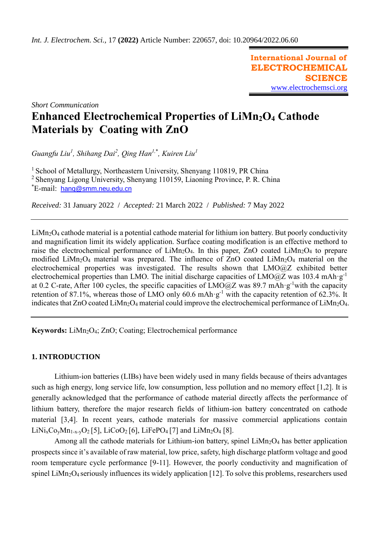**International Journal of ELECTROCHEMICAL SCIENCE** [www.electrochemsci.org](http://www.electrochemsci.org/)

*Short Communication*

# **Enhanced Electrochemical Properties of LiMn2O<sup>4</sup> Cathode Materials by Coating with ZnO**

*Guangfu Liu<sup>1</sup> , Shihang Dai<sup>2</sup> , Qing Han1,*\* *, Kuiren Liu<sup>1</sup>*

<sup>1</sup> School of Metallurgy, Northeastern University, Shenyang 110819, PR China

<sup>2</sup> Shenyang Ligong University, Shenyang 110159, Liaoning Province, P. R. China

\*E-mail: [hanq@smm.neu.edu.cn](mailto:hanq@smm.neu.edu.cn)

*Received:* 31 January 2022/ *Accepted:* 21 March 2022 / *Published:* 7 May 2022

LiMn<sub>2</sub>O<sub>4</sub> cathode material is a potential cathode material for lithium ion battery. But poorly conductivity and magnification limit its widely application. Surface coating modification is an effective methord to raise the electrochemical performance of  $LiMn<sub>2</sub>O<sub>4</sub>$ . In this paper, ZnO coated  $LiMn<sub>2</sub>O<sub>4</sub>$  to prepare modified LiMn<sub>2</sub>O<sub>4</sub> material was prepared. The influence of ZnO coated LiMn<sub>2</sub>O<sub>4</sub> material on the electrochemical properties was investigated. The results shown that LMO@Z exhibited better electrochemical properties than LMO. The initial discharge capacities of LMO $@Z$  was 103.4 mAh·g<sup>-1</sup> at 0.2 C-rate, After 100 cycles, the specific capacities of LMO@Z was 89.7 mAh·g-1with the capacity retention of 87.1%, whereas those of LMO only 60.6 mAh· $g^{-1}$  with the capacity retention of 62.3%. It indicates that ZnO coated LiMn<sub>2</sub>O<sub>4</sub> material could improve the electrochemical performance of LiMn<sub>2</sub>O<sub>4</sub>.

Keywords: LiMn<sub>2</sub>O<sub>4</sub>; ZnO; Coating; Electrochemical performance

# **1. INTRODUCTION**

Lithium-ion batteries (LIBs) have been widely used in many fields because of theirs advantages such as high energy, long service life, low consumption, less pollution and no memory effect [1,2]. It is generally acknowledged that the performance of cathode material directly affects the performance of lithium battery, therefore the major research fields of lithium-ion battery concentrated on cathode material [3,4]. In recent years, cathode materials for massive commercial applications contain  $LiNi<sub>x</sub>Co<sub>y</sub>Mn<sub>1-x-y</sub>O<sub>2</sub>[5], LiCoO<sub>2</sub>[6], LiFePO<sub>4</sub>[7]$  and  $LiMn<sub>2</sub>O<sub>4</sub>[8].$ 

Among all the cathode materials for Lithium-ion battery, spinel  $LiMn<sub>2</sub>O<sub>4</sub>$  has better application prospects since it's available of raw material, low price, safety, high discharge platform voltage and good room temperature cycle performance [9-11]. However, the poorly conductivity and magnification of spinel LiMn<sub>2</sub>O<sub>4</sub> seriously influences its widely application [12]. To solve this problems, researchers used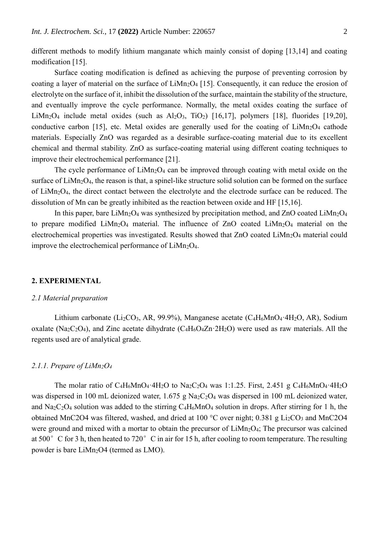different methods to modify lithium manganate which mainly consist of doping [13,14] and coating modification [15].

Surface coating modification is defined as achieving the purpose of preventing corrosion by coating a layer of material on the surface of  $LiMn<sub>2</sub>O<sub>4</sub>$  [15]. [Consequently,](https://fanyi.so.com/#consequently) it can reduce the erosion of electrolyte on the surface of it, inhibit the dissolution of the surface, maintain the stability of the structure, and eventually improve the cycle performance. Normally, the metal oxides coating the surface of LiMn<sub>2</sub>O<sub>4</sub> include metal oxides (such as  $Al_2O_3$ , TiO<sub>2</sub>) [16,17], polymers [18], fluorides [19,20], conductive carbon [15], etc. Metal oxides are generally used for the coating of  $Limn_2O_4$  cathode materials. Especially ZnO was regarded as a desirable surface-coating material due to its excellent chemical and thermal stability. ZnO as surface-coating material using different coating techniques to improve their electrochemical performance [21].

The cycle performance of  $LiMn<sub>2</sub>O<sub>4</sub>$  can be improved through coating with metal oxide on the surface of  $LiMn<sub>2</sub>O<sub>4</sub>$ , the reason is that, a spinel-like structure solid solution can be formed on the surface of LiMn2O4, the direct contact between the electrolyte and the electrode surface can be reduced. The dissolution of Mn can be greatly inhibited as the reaction between oxide and HF [15,16].

In this paper, bare LiMn<sub>2</sub>O<sub>4</sub> was synthesized by precipitation method, and ZnO coated LiMn<sub>2</sub>O<sub>4</sub> to prepare modified  $Lim<sub>2</sub>O<sub>4</sub>$  material. The influence of ZnO coated  $Lim<sub>2</sub>O<sub>4</sub>$  material on the electrochemical properties was investigated. Results showed that ZnO coated LiMn<sub>2</sub>O<sub>4</sub> material could improve the electrochemical performance of  $LiMn<sub>2</sub>O<sub>4</sub>$ .

# **2. EXPERIMENTAL**

### *2.1 Material preparation*

Lithium carbonate (Li<sub>2</sub>CO<sub>3</sub>, AR, 99.9%), Manganese acetate (C<sub>4</sub>H<sub>6</sub>MnO<sub>4</sub>·4H<sub>2</sub>O, AR), Sodium oxalate (Na<sub>2</sub>C<sub>2</sub>O<sub>4</sub>), and Zinc acetate dihydrate (C<sub>4</sub>H<sub>6</sub>O<sub>4</sub>Zn·2H<sub>2</sub>O) were used as raw materials. All the regents used are of analytical grade.

## *2.1.1. Prepare of LiMn2O<sup>4</sup>*

The molar ratio of  $C_4H_6MnO_4 \cdot 4H_2O$  to  $Na_2C_2O_4$  was 1:1.25. First, 2.451 g  $C_4H_6MnO_4 \cdot 4H_2O$ was dispersed in 100 mL deionized water, 1.675 g Na<sub>2</sub>C<sub>2</sub>O<sub>4</sub> was dispersed in 100 mL deionized water, and  $\text{Na}_2\text{C}_2\text{O}_4$  solution was added to the stirring  $\text{C}_4\text{H}_6\text{MnO}_4$  solution in drops. After stirring for 1 h, the obtained MnC2O4 was filtered, washed, and dried at  $100\text{ °C}$  over night; 0.381 g Li<sub>2</sub>CO<sub>3</sub> and MnC2O4 were ground and mixed with a mortar to obtain the precursor of  $LiMn<sub>2</sub>O<sub>4</sub>$ ; The precursor was calcined at 500° C for 3 h, then heated to 720° C in air for 15 h, after cooling to room temperature. The resulting powder is bare LiMn<sub>2</sub>O4 (termed as LMO).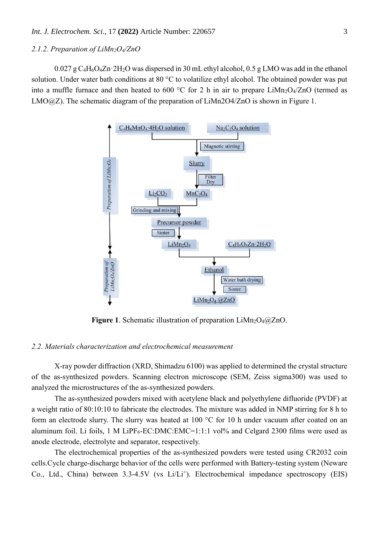## *2.1.2. Preparation of LiMn2O4/ZnO*

 $0.027$  g C<sub>4</sub>H<sub>6</sub>O<sub>4</sub>Zn·2H<sub>2</sub>O was dispersed in 30 mL ethyl alcohol, 0.5 g LMO was add in the ethanol solution. Under water bath conditions at 80 °C to volatilize ethyl alcohol. The obtained powder was put into a muffle furnace and then heated to 600 °C for 2 h in air to prepare LiMn<sub>2</sub>O<sub>4</sub>/ZnO (termed as LMO@Z). The schematic diagram of the preparation of LiMn2O4/ZnO is shown in Figure 1.



**Figure 1.** Schematic illustration of preparation LiMn<sub>2</sub>O<sub>4</sub>@ZnO.

# *2.2. Materials characterization and electrochemical measurement*

X-ray powder diffraction (XRD, Shimadzu 6100) was applied to determined the crystal structure of the as-synthesized powders. Scanning electron microscope (SEM, Zeiss sigma300) was used to analyzed the microstructures of the as-synthesized powders.

The as-synthesized powders mixed with acetylene black and polyethylene difluoride (PVDF) at a weight ratio of 80:10:10 to fabricate the electrodes. The mixture was added in NMP stirring for 8 h to form an electrode slurry. The slurry was heated at 100 °C for 10 h under vacuum after coated on an aluminum foil. Li foils, 1 M LiPF<sub>6</sub>-EC:DMC:EMC=1:1:1 vol% and Celgard 2300 films were used as anode electrode, electrolyte and separator, respectively.

The electrochemical properties of the as-synthesized powders were tested using CR2032 coin cells.Cycle charge-discharge behavior of the cells were performed with Battery-testing system (Neware Co., Ltd., China) between 3.3-4.5V (vs Li/Li<sup>+</sup>). Electrochemical impedance spectroscopy (EIS)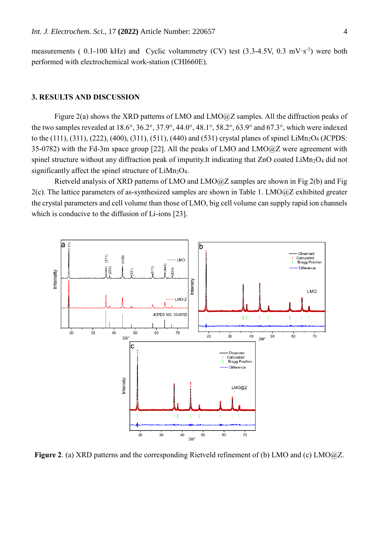measurements (0.1-100 kHz) and Cyclic voltammetry (CV) test  $(3.3-4.5V, 0.3 \text{ mV} \cdot \text{s}^{-1})$  were both performed with electrochemical work-station (CHI660E).

# **3. RESULTS AND DISCUSSION**

Figure 2(a) shows the XRD patterns of LMO and LMO@Z samples. All the diffraction peaks of the two samples revealed at 18.6°, 36.2°, 37.9°, 44.0°, 48.1°, 58.2°, 63.9° and 67.3°, which were indexed to the (111), (311), (222), (400), (311), (511), (440) and (531) crystal planes of spinel LiMn<sub>2</sub>O<sub>4</sub> (JCPDS: 35-0782) with the Fd-3m space group [22]. All the peaks of LMO and LMO@Z were agreement with spinel structure without any diffraction peak of impurity.It indicating that ZnO coated LiMn<sub>2</sub>O<sub>4</sub> did not significantly affect the spinel structure of  $LiMn<sub>2</sub>O<sub>4</sub>$ .

Rietveld analysis of XRD patterns of LMO and LMO@Z samples are shown in Fig 2(b) and Fig  $2(c)$ . The lattice parameters of as-synthesized samples are shown in Table 1. LMO $@Z$  exhibited greater the crystal parameters and cell volume than those of LMO, big cell volume can supply rapid ion channels which is conducive to the diffusion of Li-ions [23].



**Figure 2**. (a) XRD patterns and the corresponding Rietveld refinement of (b) LMO and (c) LMO@Z.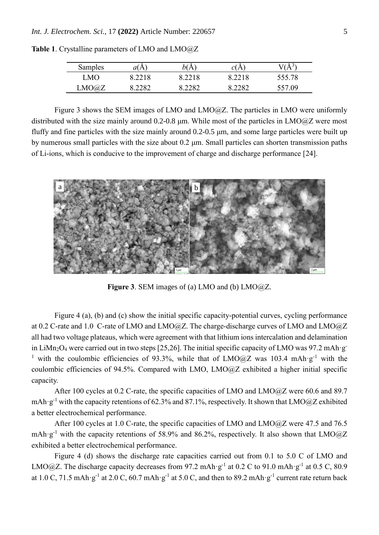| Samples | at A           | b(<br>A | ∼<br>CLA       | A      |
|---------|----------------|---------|----------------|--------|
| MO      | 8.2218         | 8.2218  |                | 555.78 |
| LMO@Z   | רפרי<br>0.4404 | 2282    | 2282<br>3.4404 | :57.09 |

**Table 1**. Crystalline parameters of LMO and LMO@Z

Figure 3 shows the SEM images of LMO and LMO@Z. The particles in LMO were uniformly distributed with the size mainly around 0.2-0.8 μm. While most of the particles in LMO@Z were most fluffy and fine particles with the size mainly around 0.2-0.5 μm, and some large particles were built up by numerous small particles with the size about 0.2 μm. Small particles can shorten transmission paths of Li-ions, which is conducive to the improvement of charge and discharge performance [24].



**Figure 3**. SEM images of (a) LMO and (b) LMO@Z.

Figure 4 (a), (b) and (c) show the initial specific capacity-potential curves, cycling performance at 0.2 C-rate and 1.0 C-rate of LMO and LMO@Z. The charge-discharge curves of LMO and LMO@Z all had two voltage plateaus, which were agreement with that lithium ions intercalation and delamination in LiMn<sub>2</sub>O<sub>4</sub> were carried out in two steps [25,26]. The initial specific capacity of LMO was 97.2 mAh·g<sup>-</sup> <sup>1</sup> with the coulombic efficiencies of 93.3%, while that of LMO@Z was 103.4 mAh·g<sup>-1</sup> with the coulombic efficiencies of 94.5%. Compared with LMO, LMO@Z exhibited a higher initial specific capacity.

After 100 cycles at 0.2 C-rate, the specific capacities of LMO and LMO@Z were 60.6 and 89.7 mAh·g<sup>-1</sup> with the capacity retentions of 62.3% and 87.1%, respectively. It shown that LMO@Z exhibited a better electrochemical performance.

After 100 cycles at 1.0 C-rate, the specific capacities of LMO and LMO@Z were 47.5 and 76.5 mAh·g<sup>-1</sup> with the capacity retentions of 58.9% and 86.2%, respectively. It also shown that LMO $@Z$ exhibited a better electrochemical performance.

Figure 4 (d) shows the discharge rate capacities carried out from 0.1 to 5.0 C of LMO and LMO@Z. The discharge capacity decreases from 97.2 mAh·g<sup>-1</sup> at 0.2 C to 91.0 mAh·g<sup>-1</sup> at 0.5 C, 80.9 at 1.0 C, 71.5 mAh·g<sup>-1</sup> at 2.0 C, 60.7 mAh·g<sup>-1</sup> at 5.0 C, and then to 89.2 mAh·g<sup>-1</sup> current rate return back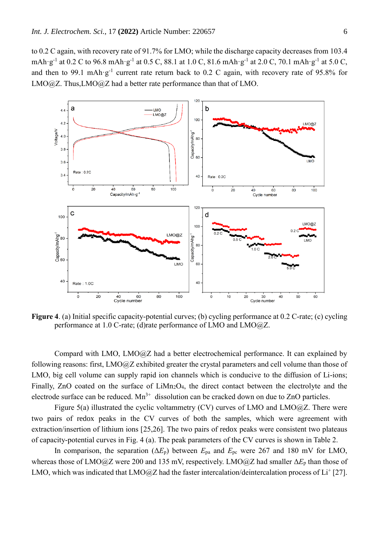to 0.2 C again, with recovery rate of 91.7% for LMO; while the discharge capacity decreases from 103.4 mAh·g<sup>-1</sup> at 0.2 C to 96.8 mAh·g<sup>-1</sup> at 0.5 C, 88.1 at 1.0 C, 81.6 mAh·g<sup>-1</sup> at 2.0 C, 70.1 mAh·g<sup>-1</sup> at 5.0 C, and then to 99.1 mAh·g<sup>-1</sup> current rate return back to 0.2 C again, with recovery rate of 95.8% for LMO@Z. Thus,LMO@Z had a better rate performance than that of LMO.



**Figure 4**. (a) Initial specific capacity-potential curves; (b) cycling performance at 0.2 C-rate; (c) cycling performance at 1.0 C-rate; (d)rate performance of LMO and LMO@Z.

Compard with LMO, LMO@Z had a better electrochemical performance. It can explained by following reasons: first, LMO@Z exhibited greater the crystal parameters and cell volume than those of LMO, big cell volume can supply rapid ion channels which is conducive to the diffusion of Li-ions; Finally, ZnO coated on the surface of  $LiMn<sub>2</sub>O<sub>4</sub>$ , the direct contact between the electrolyte and the electrode surface can be reduced.  $Mn^{3+}$  dissolution can be cracked down on due to ZnO particles.

Figure 5(a) illustrated the cyclic voltammetry (CV) curves of LMO and LMO@Z. There were two pairs of redox peaks in the CV curves of both the samples, which were agreement with extraction/insertion of lithium ions [25,26]. The two pairs of redox peaks were consistent two plateaus of capacity-potential curves in Fig. 4 (a). The peak parameters of the CV curves is shown in Table 2.

In comparison, the separation  $(\Delta E_p)$  between  $E_{pa}$  and  $E_{pc}$  were 267 and 180 mV for LMO, whereas those of LMO@Z were 200 and 135 mV, respectively. LMO@Z had smaller Δ*E*<sup>p</sup> than those of LMO, which was indicated that LMO@Z had the faster intercalation/deintercalation process of Li<sup>+</sup> [27].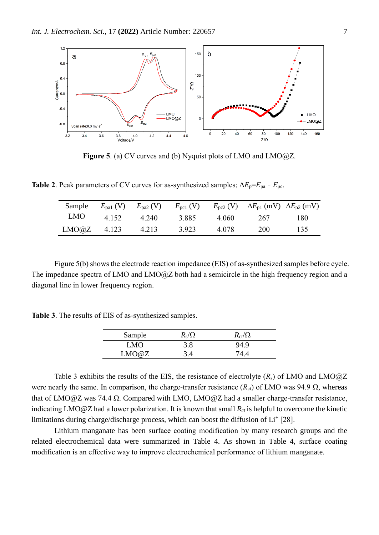

**Figure 5**. (a) CV curves and (b) Nyquist plots of LMO and LMO@Z.

**Table 2**. Peak parameters of CV curves for as-synthesized samples;  $\Delta E_p = E_{pa} - E_{pc}$ .

| Sample | $E_{\text{paf}}$ (V) | $E_{\text{pa2}}$ (V) | $E_{\text{pc1}}$ (V) |       | $E_{\text{pc2}}$ (V) $\Delta E_{\text{p1}}$ (mV) $\Delta E_{\text{p2}}$ (mV) |     |
|--------|----------------------|----------------------|----------------------|-------|------------------------------------------------------------------------------|-----|
| LMO    | 4.152                | 4.240                | 3.885                | 4.060 | 267                                                                          | 180 |
| LMO@Z  | 4.123                | 4.213                | 3.923                | 4.078 | 200                                                                          | 135 |

Figure 5(b) shows the electrode reaction impedance (EIS) of as-synthesized samples before cycle. The impedance spectra of LMO and LMO@Z both had a semicircle in the high frequency region and a diagonal line in lower frequency region.

**Table 3**. The results of EIS of as-synthesized samples.

| Sample | $R_{\rm s}/\Omega$ | $R_{\rm ct}/\Omega$ |
|--------|--------------------|---------------------|
| LMO    | 3.8                | 94.9                |
| LMO@Z  | 3.4                | 74.4                |

Table 3 exhibits the results of the EIS, the resistance of electrolyte  $(R_s)$  of LMO and LMO $@Z$ were nearly the same. In comparison, the charge-transfer resistance  $(R_{ct})$  of LMO was 94.9  $\Omega$ , whereas that of LMO@Z was 74.4 Ω. Compared with LMO, LMO@Z had a smaller charge-transfer resistance, indicating LMO@Z had a lower polarization. It is known that small  $R<sub>ct</sub>$  is helpful to overcome the kinetic limitations during charge/discharge process, which can boost the diffusion of  $Li<sup>+</sup>$  [28].

Lithium manganate has been surface coating modification by many research groups and the related electrochemical data were summarized in Table 4. As shown in Table 4, surface coating modification is an effective way to improve electrochemical performance of lithium manganate.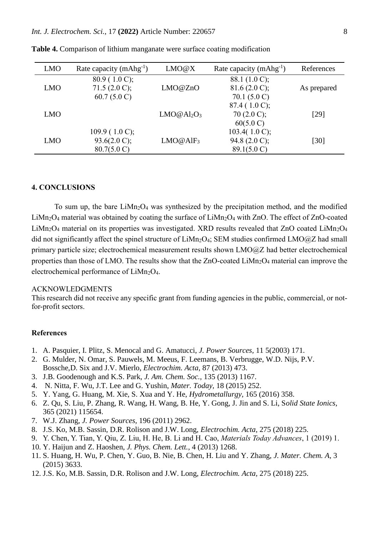| <b>LMO</b> | Rate capacity $(mAhg^{-1})$ | LMO@X                              | Rate capacity $(mAhg^{-1})$ | References  |
|------------|-----------------------------|------------------------------------|-----------------------------|-------------|
|            | $80.9(1.0 \text{ C});$      |                                    | 88.1 $(1.0 \text{ C})$ ;    |             |
| <b>LMO</b> | 71.5 $(2.0 \text{ C})$ ;    | LMO@ZnO                            | $81.6(2.0 \text{ C});$      | As prepared |
|            | 60.7 $(5.0 C)$              |                                    | 70.1 $(5.0 C)$              |             |
|            |                             |                                    | $87.4(1.0 \text{ C});$      |             |
| <b>LMO</b> |                             | LMO@Al <sub>2</sub> O <sub>3</sub> | 70 $(2.0 \text{ C});$       | [29]        |
|            |                             |                                    | $60(5.0 \text{ C})$         |             |
|            | 109.9 (1.0 C);              |                                    | 103.4 $(1.0 C)$ ;           |             |
| <b>LMO</b> | 93.6(2.0 C);                | $LMO@AlF_3$                        | 94.8 $(2.0 \text{ C})$ ;    | $[30]$      |
|            | $80.7(5.0 \text{ C})$       |                                    | $89.1(5.0 \text{ C})$       |             |

**Table 4.** Comparison of lithium manganate were surface coating modification

#### **4. CONCLUSIONS**

To sum up, the bare  $\text{LiMn}_2\text{O}_4$  was synthesized by the precipitation method, and the modified  $LiMn<sub>2</sub>O<sub>4</sub>$  material was obtained by coating the surface of  $LiMn<sub>2</sub>O<sub>4</sub>$  with ZnO. The effect of ZnO-coated LiMn<sub>2</sub>O<sub>4</sub> material on its properties was investigated. XRD results revealed that ZnO coated LiMn<sub>2</sub>O<sub>4</sub> did not significantly affect the spinel structure of  $LiMn<sub>2</sub>O<sub>4</sub>$ ; SEM studies confirmed  $LMO@Z$  had small primary particle size; electrochemical measurement results shown LMO@Z had better electrochemical properties than those of LMO. The results show that the ZnO-coated LiMn<sub>2</sub>O<sub>4</sub> material can improve the electrochemical performance of LiMn<sub>2</sub>O<sub>4</sub>.

#### ACKNOWLEDGMENTS

This research did not receive any specific grant from funding agencies in the public, commercial, or notfor-profit sectors.

# **References**

- 1. A. Pasquier, I. Plitz, S. Menocal and G. Amatucci, *J. Power Sources,* 11 5(2003) 171.
- 2. G. Mulder, N. Omar, S. Pauwels, M. Meeus, F. Leemans, B. Verbrugge, W.D. Nijs, P.V. Bossche,D. Six and J.V. Mierlo, *Electrochim. Acta,* 87 (2013) 473.
- 3. J.B. Goodenough and K.S. Park, *J. Am. Chem. Soc.,* 135 (2013) 1167.
- 4. N. Nitta, F. Wu, J.T. Lee and G. Yushin, *Mater. Today,* 18 (2015) 252.
- 5. Y. Yang, G. Huang, M. Xie, S. Xua and Y. He, *Hydrometallurgy,* 165 (2016) 358.
- 6. Z. Qu, S. Liu, P. Zhang, R. Wang, H. Wang, B. He, Y. Gong, J. Jin and S. Li, S*olid State Ionics,*  365 (2021) 115654.
- 7. W.J. Zhang, *J. Power Sources,* 196 (2011) 2962.
- 8. J.S. Ko, M.B. Sassin, D.R. Rolison and J.W. Long, *Electrochim. Acta*, 275 (2018) 225.
- 9. Y. Chen, Y. Tian, Y. Qiu, Z. Liu, H. He, B. Li and H. Cao, *Materials Today Advances*, 1 (2019) 1.
- 10. Y. Haijun and Z. Haoshen, *J. Phys. Chem. Lett.,* 4 (2013) 1268.
- 11. S. Huang, H. Wu, P. Chen, Y. Guo, B. Nie, B. Chen, H. Liu and Y. Zhang, *J. Mater. Chem. A,* 3 (2015) 3633.
- 12. J.S. Ko, M.B. Sassin, D.R. Rolison and J.W. Long, *Electrochim. Acta,* 275 (2018) 225.